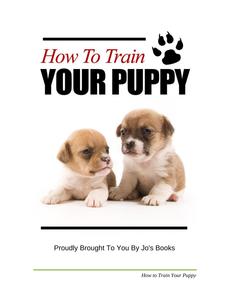

#### Proudly Brought To You By Jo's Books

*How to Train Your Puppy*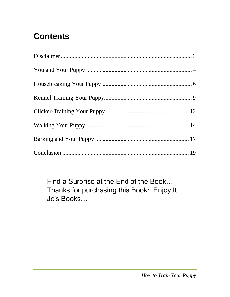# **Contents**

Find a Surprise at the End of the Book… Thanks for purchasing this Book~ Enjoy It... Jo's Books…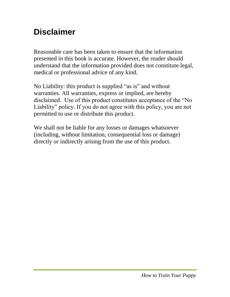## <span id="page-2-0"></span>**Disclaimer**

Reasonable care has been taken to ensure that the information presented in this book is accurate. However, the reader should understand that the information provided does not constitute legal, medical or professional advice of any kind.

No Liability: this product is supplied "as is" and without warranties. All warranties, express or implied, are hereby disclaimed. Use of this product constitutes acceptance of the "No Liability" policy. If you do not agree with this policy, you are not permitted to use or distribute this product.

We shall not be liable for any losses or damages whatsoever (including, without limitation, consequential loss or damage) directly or indirectly arising from the use of this product.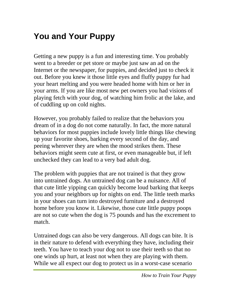## <span id="page-3-0"></span>**You and Your Puppy**

Getting a new puppy is a fun and interesting time. You probably went to a breeder or pet store or maybe just saw an ad on the Internet or the newspaper, for puppies, and decided just to check it out. Before you knew it those little eyes and fluffy puppy fur had your heart melting and you were headed home with him or her in your arms. If you are like most new pet owners you had visions of playing fetch with your dog, of watching him frolic at the lake, and of cuddling up on cold nights.

However, you probably failed to realize that the behaviors you dream of in a dog do not come naturally. In fact, the more natural behaviors for most puppies include lovely little things like chewing up your favorite shoes, barking every second of the day, and peeing wherever they are when the mood strikes them. These behaviors might seem cute at first, or even manageable but, if left unchecked they can lead to a very bad adult dog.

The problem with puppies that are not trained is that they grow into untrained dogs. An untrained dog can be a nuisance. All of that cute little yipping can quickly become loud barking that keeps you and your neighbors up for nights on end. The little teeth marks in your shoes can turn into destroyed furniture and a destroyed home before you know it. Likewise, those cute little puppy poops are not so cute when the dog is 75 pounds and has the excrement to match.

Untrained dogs can also be very dangerous. All dogs can bite. It is in their nature to defend with everything they have, including their teeth. You have to teach your dog not to use their teeth so that no one winds up hurt, at least not when they are playing with them. While we all expect our dog to protect us in a worst-case scenario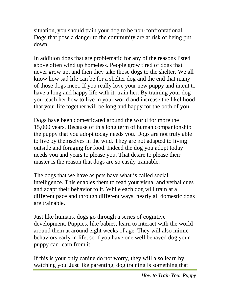situation, you should train your dog to be non-confrontational. Dogs that pose a danger to the community are at risk of being put down.

In addition dogs that are problematic for any of the reasons listed above often wind up homeless. People grow tired of dogs that never grow up, and then they take those dogs to the shelter. We all know how sad life can be for a shelter dog and the end that many of those dogs meet. If you really love your new puppy and intent to have a long and happy life with it, train her. By training your dog you teach her how to live in your world and increase the likelihood that your life together will be long and happy for the both of you.

Dogs have been domesticated around the world for more the 15,000 years. Because of this long term of human companionship the puppy that you adopt today needs you. Dogs are not truly able to live by themselves in the wild. They are not adapted to living outside and foraging for food. Indeed the dog you adopt today needs you and years to please you. That desire to please their master is the reason that dogs are so easily trainable.

The dogs that we have as pets have what is called social intelligence. This enables them to read your visual and verbal cues and adapt their behavior to it. While each dog will train at a different pace and through different ways, nearly all domestic dogs are trainable.

Just like humans, dogs go through a series of cognitive development. Puppies, like babies, learn to interact with the world around them at around eight weeks of age. They will also mimic behaviors early in life, so if you have one well behaved dog your puppy can learn from it.

If this is your only canine do not worry, they will also learn by watching you. Just like parenting, dog training is something that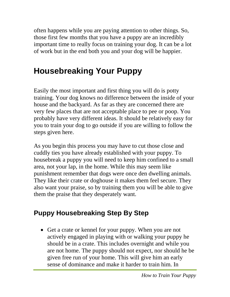often happens while you are paying attention to other things. So, those first few months that you have a puppy are an incredibly important time to really focus on training your dog. It can be a lot of work but in the end both you and your dog will be happier.

# <span id="page-5-0"></span>**Housebreaking Your Puppy**

Easily the most important and first thing you will do is potty training. Your dog knows no difference between the inside of your house and the backyard. As far as they are concerned there are very few places that are not acceptable place to pee or poop. You probably have very different ideas. It should be relatively easy for you to train your dog to go outside if you are willing to follow the steps given here.

As you begin this process you may have to cut those close and cuddly ties you have already established with your puppy. To housebreak a puppy you will need to keep him confined to a small area, not your lap, in the home. While this may seem like punishment remember that dogs were once den dwelling animals. They like their crate or doghouse it makes them feel secure. They also want your praise, so by training them you will be able to give them the praise that they desperately want.

#### **Puppy Housebreaking Step By Step**

• Get a crate or kennel for your puppy. When you are not actively engaged in playing with or walking your puppy he should be in a crate. This includes overnight and while you are not home. The puppy should not expect, nor should he be given free run of your home. This will give him an early sense of dominance and make it harder to train him. In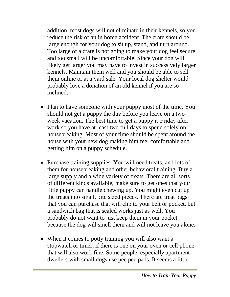addition, most dogs will not eliminate in their kennels, so you reduce the risk of an in home accident. The crate should be large enough for your dog to sit up, stand, and turn around. Too large of a crate is not going to make your dog feel secure and too small will be uncomfortable. Since your dog will likely get larger you may have to invest in successively larger kennels. Maintain them well and you should be able to sell them online or at a yard sale. Your local dog shelter would probably love a donation of an old kennel if you are so inclined.

- Plan to have some one with your puppy most of the time. You should not get a puppy the day before you leave on a two week vacation. The best time to get a puppy is Friday after work so you have at least two full days to spend solely on housebreaking. Most of your time should be spent around the house with your new dog making him feel comfortable and getting him on a puppy schedule.
- Purchase training supplies. You will need treats, and lots of them for housebreaking and other behavioral training. Buy a large supply and a wide variety of treats. There are all sorts of different kinds available, make sure to get ones that your little puppy can handle chewing up. You might even cut up the treats into small, bite sized pieces. There are treat bags that you can purchase that will clip to your belt or pocket, but a sandwich bag that is sealed works just as well. You probably do not want to just keep them in your pocket because the dog will smell them and will not leave you alone.
- When it comes to potty training you will also want a stopwatch or timer, if there is one on your oven or cell phone that will also work fine. Some people, especially apartment dwellers with small dogs use pee pee pads. It seems a little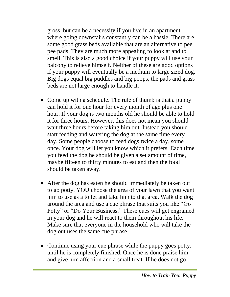gross, but can be a necessity if you live in an apartment where going downstairs constantly can be a hassle. There are some good grass beds available that are an alternative to pee pee pads. They are much more appealing to look at and to smell. This is also a good choice if your puppy will use your balcony to relieve himself. Neither of these are good options if your puppy will eventually be a medium to large sized dog. Big dogs equal big puddles and big poops, the pads and grass beds are not large enough to handle it.

- Come up with a schedule. The rule of thumb is that a puppy can hold it for one hour for every month of age plus one hour. If your dog is two months old he should be able to hold it for three hours. However, this does not mean you should wait three hours before taking him out. Instead you should start feeding and watering the dog at the same time every day. Some people choose to feed dogs twice a day, some once. Your dog will let you know which it prefers. Each time you feed the dog he should be given a set amount of time, maybe fifteen to thirty minutes to eat and then the food should be taken away.
- After the dog has eaten he should immediately be taken out to go potty. YOU choose the area of your lawn that you want him to use as a toilet and take him to that area. Walk the dog around the area and use a cue phrase that suits you like "Go Potty" or "Do Your Business." These cues will get engrained in your dog and he will react to them throughout his life. Make sure that everyone in the household who will take the dog out uses the same cue phrase.
- Continue using your cue phrase while the puppy goes potty, until he is completely finished. Once he is done praise him and give him affection and a small treat. If he does not go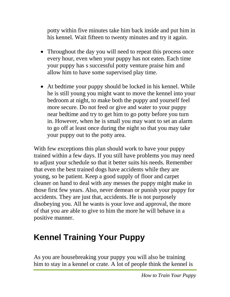potty within five minutes take him back inside and put him in his kennel. Wait fifteen to twenty minutes and try it again.

- Throughout the day you will need to repeat this process once every hour, even when your puppy has not eaten. Each time your puppy has s successful potty venture praise him and allow him to have some supervised play time.
- At bedtime your puppy should be locked in his kennel. While he is still young you might want to move the kennel into your bedroom at night, to make both the puppy and yourself feel more secure. Do not feed or give and water to your puppy near bedtime and try to get him to go potty before you turn in. However, when he is small you may want to set an alarm to go off at least once during the night so that you may take your puppy out to the potty area.

With few exceptions this plan should work to have your puppy trained within a few days. If you still have problems you may need to adjust your schedule so that it better suits his needs. Remember that even the best trained dogs have accidents while they are young, so be patient. Keep a good supply of floor and carpet cleaner on hand to deal with any messes the puppy might make in those first few years. Also, never demean or punish your puppy for accidents. They are just that, accidents. He is not purposely disobeying you. All he wants is your love and approval, the more of that you are able to give to him the more he will behave in a positive manner.

### <span id="page-8-0"></span>**Kennel Training Your Puppy**

As you are housebreaking your puppy you will also be training him to stay in a kennel or crate. A lot of people think the kennel is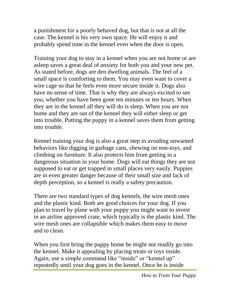a punishment for a poorly behaved dog, but that is not at all the case. The kennel is his very own space. He will enjoy it and probably spend time in the kennel even when the door is open.

Training your dog to stay in a kennel when you are not home or are asleep saves a great deal of anxiety for both you and your new pet. As stated before, dogs are den dwelling animals. The feel of a small space is comforting to them. You may even want to cover a wire cage so that he feels even more secure inside it. Dogs also have no sense of time. That is why they are always excited to see you, whether you have been gone ten minutes or ten hours. When they are in the kennel all they will do is sleep. When you are not home and they are out of the kennel they will either sleep or get into trouble. Putting the puppy in a kennel saves them from getting into trouble.

Kennel training your dog is also a great step in avoiding unwanted behaviors like digging in garbage cans, chewing on non-toys, and climbing on furniture. It also protects him from getting in a dangerous situation in your home. Dogs will eat things they are not supposed to eat or get trapped in small places very easily. Puppies are in even greater danger because of their small size and lack of depth perception, so a kennel is really a safety precaution.

There are two standard types of dog kennels, the wire mesh ones and the plastic kind. Both are good choices for your dog. If you plan to travel by plane with your puppy you might want to invest in an airline approved crate, which typically is the plastic kind. The wire mesh ones are collapsible which makes them easy to move and to clean.

When you first bring the puppy home he might not readily go into the kennel. Make it appealing by placing treats or toys inside. Again, use a simple command like "inside" or "kennel up" repeatedly until your dog goes in the kennel. Once he is inside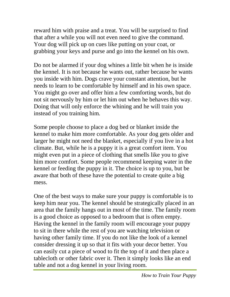reward him with praise and a treat. You will be surprised to find that after a while you will not even need to give the command. Your dog will pick up on cues like putting on your coat, or grabbing your keys and purse and go into the kennel on his own.

Do not be alarmed if your dog whines a little bit when he is inside the kennel. It is not because he wants out, rather because he wants you inside with him. Dogs crave your constant attention, but he needs to learn to be comfortable by himself and in his own space. You might go over and offer him a few comforting words, but do not sit nervously by him or let him out when he behaves this way. Doing that will only enforce the whining and he will train you instead of you training him.

Some people choose to place a dog bed or blanket inside the kennel to make him more comfortable. As your dog gets older and larger he might not need the blanket, especially if you live in a hot climate. But, while he is a puppy it is a great comfort item. You might even put in a piece of clothing that smells like you to give him more comfort. Some people recommend keeping water in the kennel or feeding the puppy in it. The choice is up to you, but be aware that both of these have the potential to create quite a big mess.

One of the best ways to make sure your puppy is comfortable is to keep him near you. The kennel should be strategically placed in an area that the family hangs out in most of the time. The family room is a good choice as opposed to a bedroom that is often empty. Having the kennel in the family room will encourage your puppy to sit in there while the rest of you are watching television or having other family time. If you do not like the look of a kennel consider dressing it up so that it fits with your decor better. You can easily cut a piece of wood to fit the top of it and then place a tablecloth or other fabric over it. Then it simply looks like an end table and not a dog kennel in your living room.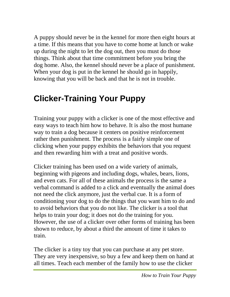A puppy should never be in the kennel for more then eight hours at a time. If this means that you have to come home at lunch or wake up during the night to let the dog out, then you must do those things. Think about that time commitment before you bring the dog home. Also, the kennel should never be a place of punishment. When your dog is put in the kennel he should go in happily, knowing that you will be back and that he is not in trouble.

## <span id="page-11-0"></span>**Clicker-Training Your Puppy**

Training your puppy with a clicker is one of the most effective and easy ways to teach him how to behave. It is also the most humane way to train a dog because it centers on positive reinforcement rather then punishment. The process is a fairly simple one of clicking when your puppy exhibits the behaviors that you request and then rewarding him with a treat and positive words.

Clicker training has been used on a wide variety of animals, beginning with pigeons and including dogs, whales, bears, lions, and even cats. For all of these animals the process is the same a verbal command is added to a click and eventually the animal does not need the click anymore, just the verbal cue. It is a form of conditioning your dog to do the things that you want him to do and to avoid behaviors that you do not like. The clicker is a tool that helps to train your dog; it does not do the training for you. However, the use of a clicker over other forms of training has been shown to reduce, by about a third the amount of time it takes to train.

The clicker is a tiny toy that you can purchase at any pet store. They are very inexpensive, so buy a few and keep them on hand at all times. Teach each member of the family how to use the clicker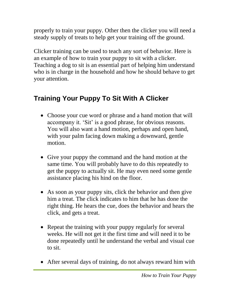properly to train your puppy. Other then the clicker you will need a steady supply of treats to help get your training off the ground.

Clicker training can be used to teach any sort of behavior. Here is an example of how to train your puppy to sit with a clicker. Teaching a dog to sit is an essential part of helping him understand who is in charge in the household and how he should behave to get your attention.

#### **Training Your Puppy To Sit With A Clicker**

- Choose your cue word or phrase and a hand motion that will accompany it. 'Sit' is a good phrase, for obvious reasons. You will also want a hand motion, perhaps and open hand, with your palm facing down making a downward, gentle motion.
- Give your puppy the command and the hand motion at the same time. You will probably have to do this repeatedly to get the puppy to actually sit. He may even need some gentle assistance placing his hind on the floor.
- As soon as your puppy sits, click the behavior and then give him a treat. The click indicates to him that he has done the right thing. He hears the cue, does the behavior and hears the click, and gets a treat.
- Repeat the training with your puppy regularly for several weeks. He will not get it the first time and will need it to be done repeatedly until he understand the verbal and visual cue to sit.
- After several days of training, do not always reward him with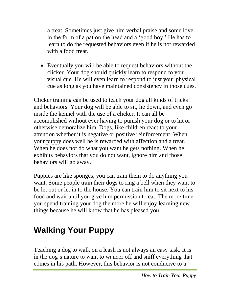a treat. Sometimes just give him verbal praise and some love in the form of a pat on the head and a 'good boy.' He has to learn to do the requested behaviors even if he is not rewarded with a food treat.

 Eventually you will be able to request behaviors without the clicker. Your dog should quickly learn to respond to your visual cue. He will even learn to respond to just your physical cue as long as you have maintained consistency in those cues.

Clicker training can be used to teach your dog all kinds of tricks and behaviors. Your dog will be able to sit, lie down, and even go inside the kennel with the use of a clicker. It can all be accomplished without ever having to punish your dog or to hit or otherwise demoralize him. Dogs, like children react to your attention whether it is negative or positive reinforcement. When your puppy does well he is rewarded with affection and a treat. When he does not do what you want he gets nothing. When he exhibits behaviors that you do not want, ignore him and those behaviors will go away.

Puppies are like sponges, you can train them to do anything you want. Some people train their dogs to ring a bell when they want to be let out or let in to the house. You can train him to sit next to his food and wait until you give him permission to eat. The more time you spend training your dog the more he will enjoy learning new things because he will know that he has pleased you.

# <span id="page-13-0"></span>**Walking Your Puppy**

Teaching a dog to walk on a leash is not always an easy task. It is in the dog's nature to want to wander off and sniff everything that comes in his path. However, this behavior is not conducive to a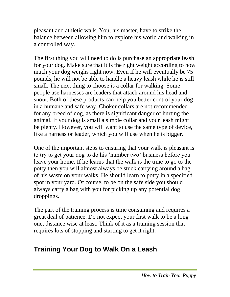pleasant and athletic walk. You, his master, have to strike the balance between allowing him to explore his world and walking in a controlled way.

The first thing you will need to do is purchase an appropriate leash for your dog. Make sure that it is the right weight according to how much your dog weighs right now. Even if he will eventually be 75 pounds, he will not be able to handle a heavy leash while he is still small. The next thing to choose is a collar for walking. Some people use harnesses are leaders that attach around his head and snout. Both of these products can help you better control your dog in a humane and safe way. Choker collars are not recommended for any breed of dog, as there is significant danger of hurting the animal. If your dog is small a simple collar and your leash might be plenty. However, you will want to use the same type of device, like a harness or leader, which you will use when he is bigger.

One of the important steps to ensuring that your walk is pleasant is to try to get your dog to do his 'number two' business before you leave your home. If he learns that the walk is the time to go to the potty then you will almost always be stuck carrying around a bag of his waste on your walks. He should learn to potty in a specified spot in your yard. Of course, to be on the safe side you should always carry a bag with you for picking up any potential dog droppings.

The part of the training process is time consuming and requires a great deal of patience. Do not expect your first walk to be a long one, distance wise at least. Think of it as a training session that requires lots of stopping and starting to get it right.

#### **Training Your Dog to Walk On a Leash**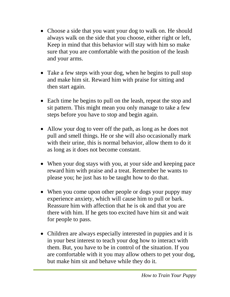- Choose a side that you want your dog to walk on. He should always walk on the side that you choose, either right or left, Keep in mind that this behavior will stay with him so make sure that you are comfortable with the position of the leash and your arms.
- Take a few steps with your dog, when he begins to pull stop and make him sit. Reward him with praise for sitting and then start again.
- Each time he begins to pull on the leash, repeat the stop and sit pattern. This might mean you only manage to take a few steps before you have to stop and begin again.
- Allow your dog to veer off the path, as long as he does not pull and smell things. He or she will also occasionally mark with their urine, this is normal behavior, allow them to do it as long as it does not become constant.
- When your dog stays with you, at your side and keeping pace reward him with praise and a treat. Remember he wants to please you; he just has to be taught how to do that.
- When you come upon other people or dogs your puppy may experience anxiety, which will cause him to pull or bark. Reassure him with affection that he is ok and that you are there with him. If he gets too excited have him sit and wait for people to pass.
- Children are always especially interested in puppies and it is in your best interest to teach your dog how to interact with them. But, you have to be in control of the situation. If you are comfortable with it you may allow others to pet your dog, but make him sit and behave while they do it.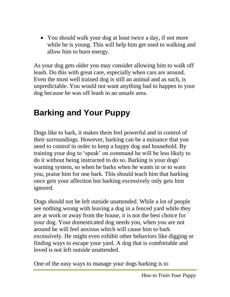• You should walk your dog at least twice a day, if not more while he is young. This will help him get used to walking and allow him to burn energy.

As your dog gets older you may consider allowing him to walk off leash. Do this with great care, especially when cars are around. Even the most well trained dog is still an animal and as such, is unpredictable. You would not want anything bad to happen to your dog because he was off leash in an unsafe area.

# <span id="page-16-0"></span>**Barking and Your Puppy**

Dogs like to bark, it makes them feel powerful and in control of their surroundings. However, barking can be a nuisance that you need to control in order to keep a happy dog and household. By training your dog to 'speak' on command he will be less likely to do it without being instructed to do so. Barking is your dogs' warning system, so when he barks when he wants in or to warn you, praise him for one bark. This should teach him that barking once gets your affection but barking excessively only gets him ignored.

Dogs should not be left outside unattended. While a lot of people see nothing wrong with leaving a dog in a fenced yard while they are at work or away from the house, it is not the best choice for your dog. Your domesticated dog needs you, when you are not around he will feel anxious which will cause him to bark excessively. He might even exhibit other behaviors like digging or finding ways to escape your yard. A dog that is comfortable and loved is not left outside unattended.

One of the easy ways to manage your dogs barking is to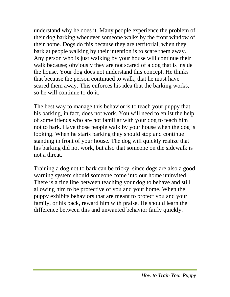understand why he does it. Many people experience the problem of their dog barking whenever someone walks by the front window of their home. Dogs do this because they are territorial, when they bark at people walking by their intention is to scare them away. Any person who is just walking by your house will continue their walk because; obviously they are not scared of a dog that is inside the house. Your dog does not understand this concept. He thinks that because the person continued to walk, that he must have scared them away. This enforces his idea that the barking works, so he will continue to do it.

The best way to manage this behavior is to teach your puppy that his barking, in fact, does not work. You will need to enlist the help of some friends who are not familiar with your dog to teach him not to bark. Have those people walk by your house when the dog is looking. When he starts barking they should stop and continue standing in front of your house. The dog will quickly realize that his barking did not work, but also that someone on the sidewalk is not a threat.

Training a dog not to bark can be tricky, since dogs are also a good warning system should someone come into our home uninvited. There is a fine line between teaching your dog to behave and still allowing him to be protective of you and your home. When the puppy exhibits behaviors that are meant to protect you and your family, or his pack, reward him with praise. He should learn the difference between this and unwanted behavior fairly quickly.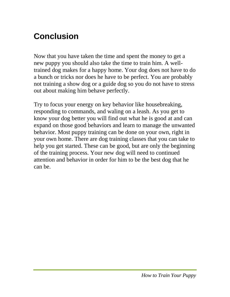### <span id="page-18-0"></span>**Conclusion**

Now that you have taken the time and spent the money to get a new puppy you should also take the time to train him. A welltrained dog makes for a happy home. Your dog does not have to do a bunch or tricks nor does he have to be perfect. You are probably not training a show dog or a guide dog so you do not have to stress out about making him behave perfectly.

Try to focus your energy on key behavior like housebreaking, responding to commands, and waling on a leash. As you get to know your dog better you will find out what he is good at and can expand on those good behaviors and learn to manage the unwanted behavior. Most puppy training can be done on your own, right in your own home. There are dog training classes that you can take to help you get started. These can be good, but are only the beginning of the training process. Your new dog will need to continued attention and behavior in order for him to be the best dog that he can be.